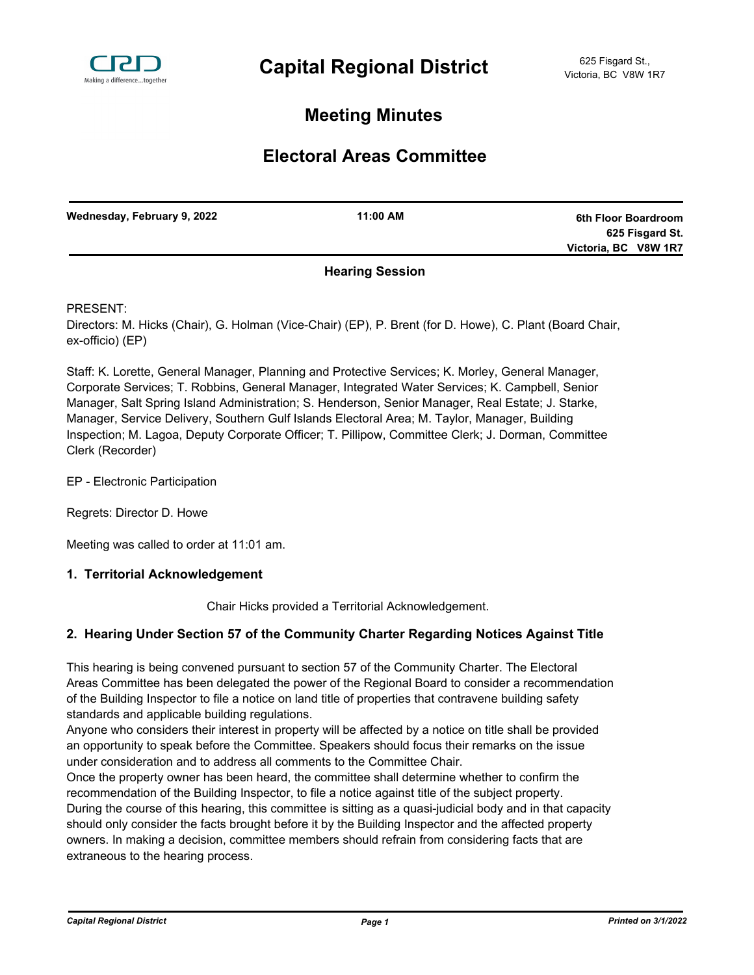

# **Meeting Minutes**

# **Electoral Areas Committee**

| Wednesday, February 9, 2022 | 11:00 AM | 6th Floor Boardroom  |
|-----------------------------|----------|----------------------|
|                             |          | 625 Fisgard St.      |
|                             |          | Victoria, BC V8W 1R7 |
|                             | -- - - - |                      |

# **Hearing Session**

PRESENT:

Directors: M. Hicks (Chair), G. Holman (Vice-Chair) (EP), P. Brent (for D. Howe), C. Plant (Board Chair, ex-officio) (EP)

Staff: K. Lorette, General Manager, Planning and Protective Services; K. Morley, General Manager, Corporate Services; T. Robbins, General Manager, Integrated Water Services; K. Campbell, Senior Manager, Salt Spring Island Administration; S. Henderson, Senior Manager, Real Estate; J. Starke, Manager, Service Delivery, Southern Gulf Islands Electoral Area; M. Taylor, Manager, Building Inspection; M. Lagoa, Deputy Corporate Officer; T. Pillipow, Committee Clerk; J. Dorman, Committee Clerk (Recorder)

EP - Electronic Participation

Regrets: Director D. Howe

Meeting was called to order at 11:01 am.

#### **1. Territorial Acknowledgement**

Chair Hicks provided a Territorial Acknowledgement.

## **2. Hearing Under Section 57 of the Community Charter Regarding Notices Against Title**

This hearing is being convened pursuant to section 57 of the Community Charter. The Electoral Areas Committee has been delegated the power of the Regional Board to consider a recommendation of the Building Inspector to file a notice on land title of properties that contravene building safety standards and applicable building regulations.

Anyone who considers their interest in property will be affected by a notice on title shall be provided an opportunity to speak before the Committee. Speakers should focus their remarks on the issue under consideration and to address all comments to the Committee Chair.

Once the property owner has been heard, the committee shall determine whether to confirm the recommendation of the Building Inspector, to file a notice against title of the subject property. During the course of this hearing, this committee is sitting as a quasi-judicial body and in that capacity should only consider the facts brought before it by the Building Inspector and the affected property owners. In making a decision, committee members should refrain from considering facts that are extraneous to the hearing process.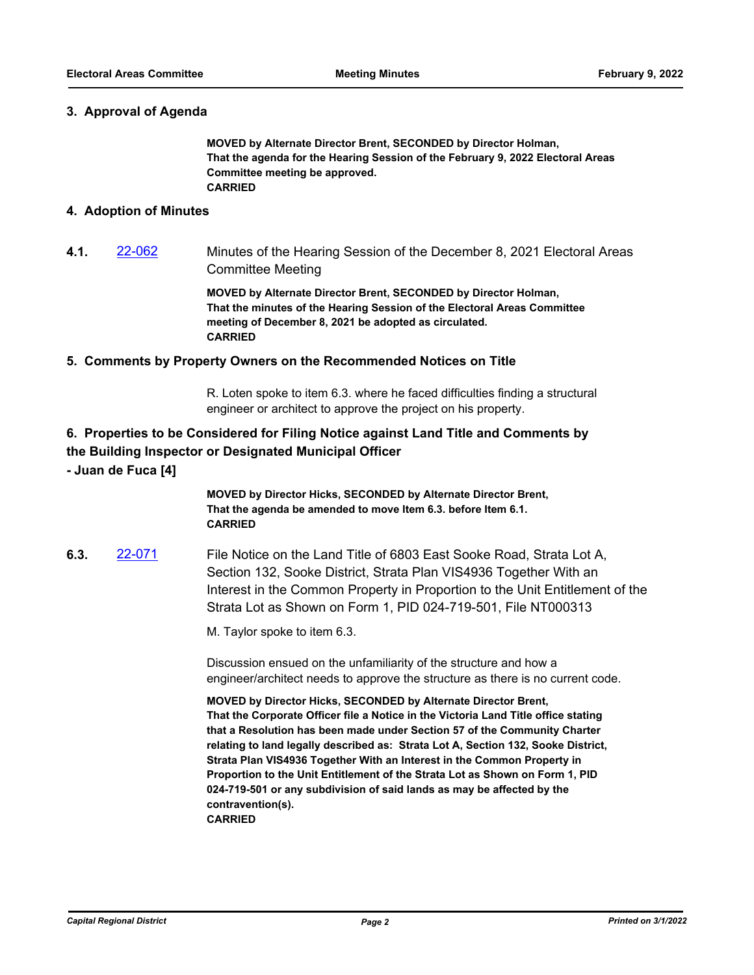### **3. Approval of Agenda**

**MOVED by Alternate Director Brent, SECONDED by Director Holman, That the agenda for the Hearing Session of the February 9, 2022 Electoral Areas Committee meeting be approved. CARRIED**

#### **4. Adoption of Minutes**

**4.1.** [22-062](http://crd.ca.legistar.com/gateway.aspx?m=l&id=/matter.aspx?key=8918) Minutes of the Hearing Session of the December 8, 2021 Electoral Areas Committee Meeting

> **MOVED by Alternate Director Brent, SECONDED by Director Holman, That the minutes of the Hearing Session of the Electoral Areas Committee meeting of December 8, 2021 be adopted as circulated. CARRIED**

### **5. Comments by Property Owners on the Recommended Notices on Title**

R. Loten spoke to item 6.3. where he faced difficulties finding a structural engineer or architect to approve the project on his property.

# **6. Properties to be Considered for Filing Notice against Land Title and Comments by the Building Inspector or Designated Municipal Officer**

**- Juan de Fuca [4]**

**MOVED by Director Hicks, SECONDED by Alternate Director Brent, That the agenda be amended to move Item 6.3. before Item 6.1. CARRIED**

**6.3.** [22-071](http://crd.ca.legistar.com/gateway.aspx?m=l&id=/matter.aspx?key=8927) File Notice on the Land Title of 6803 East Sooke Road, Strata Lot A, Section 132, Sooke District, Strata Plan VIS4936 Together With an Interest in the Common Property in Proportion to the Unit Entitlement of the Strata Lot as Shown on Form 1, PID 024-719-501, File NT000313

M. Taylor spoke to item 6.3.

Discussion ensued on the unfamiliarity of the structure and how a engineer/architect needs to approve the structure as there is no current code.

**MOVED by Director Hicks, SECONDED by Alternate Director Brent, That the Corporate Officer file a Notice in the Victoria Land Title office stating that a Resolution has been made under Section 57 of the Community Charter relating to land legally described as: Strata Lot A, Section 132, Sooke District, Strata Plan VIS4936 Together With an Interest in the Common Property in Proportion to the Unit Entitlement of the Strata Lot as Shown on Form 1, PID 024-719-501 or any subdivision of said lands as may be affected by the contravention(s). CARRIED**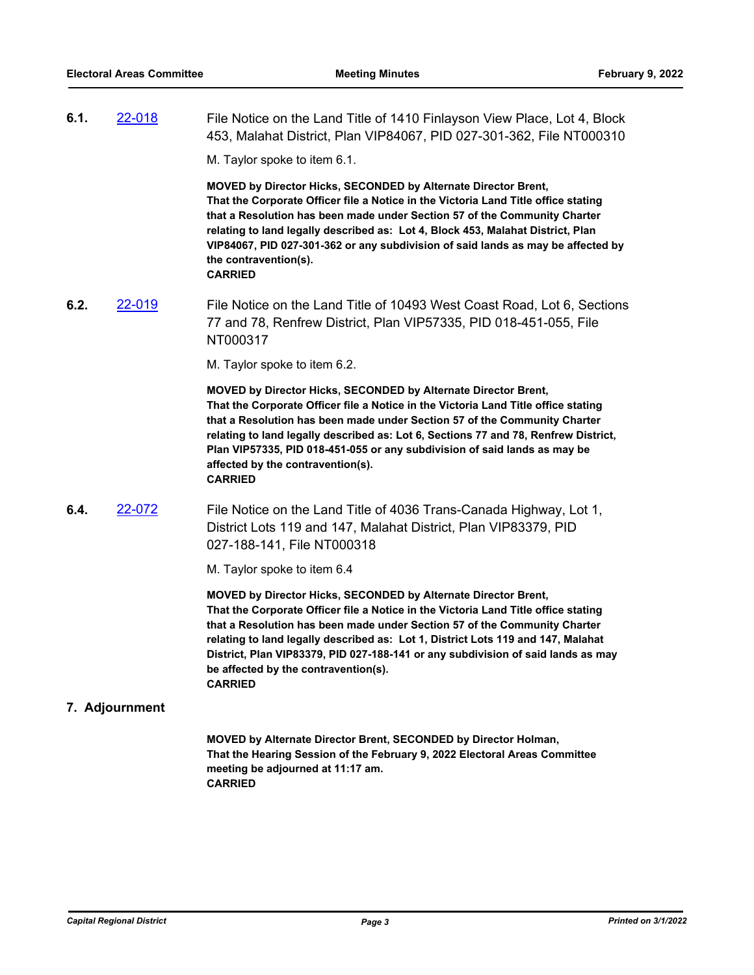**6.1.** [22-018](http://crd.ca.legistar.com/gateway.aspx?m=l&id=/matter.aspx?key=8874) File Notice on the Land Title of 1410 Finlayson View Place, Lot 4, Block 453, Malahat District, Plan VIP84067, PID 027-301-362, File NT000310

M. Taylor spoke to item 6.1.

**MOVED by Director Hicks, SECONDED by Alternate Director Brent, That the Corporate Officer file a Notice in the Victoria Land Title office stating that a Resolution has been made under Section 57 of the Community Charter relating to land legally described as: Lot 4, Block 453, Malahat District, Plan VIP84067, PID 027-301-362 or any subdivision of said lands as may be affected by the contravention(s). CARRIED**

**6.2.** [22-019](http://crd.ca.legistar.com/gateway.aspx?m=l&id=/matter.aspx?key=8875) File Notice on the Land Title of 10493 West Coast Road, Lot 6, Sections 77 and 78, Renfrew District, Plan VIP57335, PID 018-451-055, File NT000317

M. Taylor spoke to item 6.2.

**MOVED by Director Hicks, SECONDED by Alternate Director Brent, That the Corporate Officer file a Notice in the Victoria Land Title office stating that a Resolution has been made under Section 57 of the Community Charter relating to land legally described as: Lot 6, Sections 77 and 78, Renfrew District, Plan VIP57335, PID 018-451-055 or any subdivision of said lands as may be affected by the contravention(s). CARRIED**

**6.4.** [22-072](http://crd.ca.legistar.com/gateway.aspx?m=l&id=/matter.aspx?key=8928) File Notice on the Land Title of 4036 Trans-Canada Highway, Lot 1, District Lots 119 and 147, Malahat District, Plan VIP83379, PID 027-188-141, File NT000318

M. Taylor spoke to item 6.4

**MOVED by Director Hicks, SECONDED by Alternate Director Brent, That the Corporate Officer file a Notice in the Victoria Land Title office stating that a Resolution has been made under Section 57 of the Community Charter relating to land legally described as: Lot 1, District Lots 119 and 147, Malahat District, Plan VIP83379, PID 027-188-141 or any subdivision of said lands as may be affected by the contravention(s). CARRIED**

#### **7. Adjournment**

**MOVED by Alternate Director Brent, SECONDED by Director Holman, That the Hearing Session of the February 9, 2022 Electoral Areas Committee meeting be adjourned at 11:17 am. CARRIED**